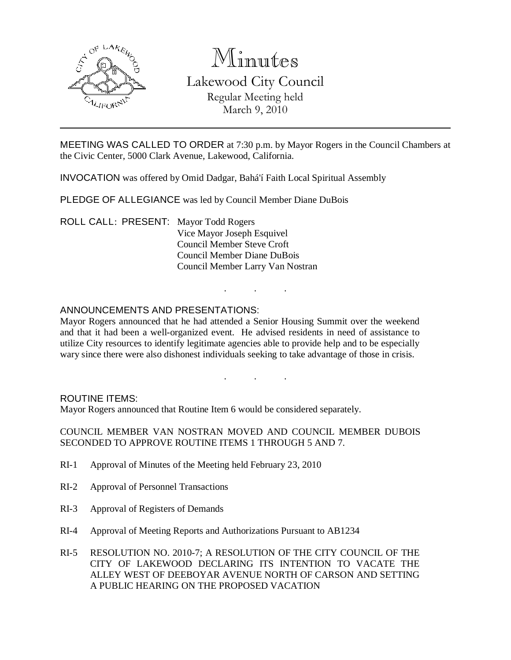

# Minutes

# Lakewood City Council Regular Meeting held March 9, 2010

MEETING WAS CALLED TO ORDER at 7:30 p.m. by Mayor Rogers in the Council Chambers at the Civic Center, 5000 Clark Avenue, Lakewood, California.

INVOCATION was offered by Omid Dadgar, Bahá'í Faith Local Spiritual Assembly

PLEDGE OF ALLEGIANCE was led by Council Member Diane DuBois

ROLL CALL: PRESENT: Mayor Todd Rogers Vice Mayor Joseph Esquivel Council Member Steve Croft Council Member Diane DuBois Council Member Larry Van Nostran

# ANNOUNCEMENTS AND PRESENTATIONS:

Mayor Rogers announced that he had attended a Senior Housing Summit over the weekend and that it had been a well-organized event. He advised residents in need of assistance to utilize City resources to identify legitimate agencies able to provide help and to be especially wary since there were also dishonest individuals seeking to take advantage of those in crisis.

. . .

. . .

#### ROUTINE ITEMS:

Mayor Rogers announced that Routine Item 6 would be considered separately.

COUNCIL MEMBER VAN NOSTRAN MOVED AND COUNCIL MEMBER DUBOIS SECONDED TO APPROVE ROUTINE ITEMS 1 THROUGH 5 AND 7.

- RI-1 Approval of Minutes of the Meeting held February 23, 2010
- RI-2 Approval of Personnel Transactions
- RI-3 Approval of Registers of Demands
- RI-4 Approval of Meeting Reports and Authorizations Pursuant to AB1234
- RI-5 RESOLUTION NO. 2010-7; A RESOLUTION OF THE CITY COUNCIL OF THE CITY OF LAKEWOOD DECLARING ITS INTENTION TO VACATE THE ALLEY WEST OF DEEBOYAR AVENUE NORTH OF CARSON AND SETTING A PUBLIC HEARING ON THE PROPOSED VACATION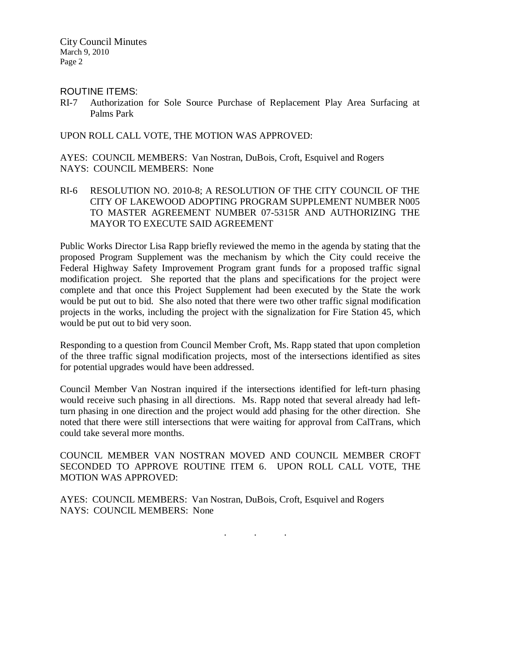City Council Minutes March 9, 2010 Page 2

ROUTINE ITEMS:

RI-7 Authorization for Sole Source Purchase of Replacement Play Area Surfacing at Palms Park

UPON ROLL CALL VOTE, THE MOTION WAS APPROVED:

AYES: COUNCIL MEMBERS: Van Nostran, DuBois, Croft, Esquivel and Rogers NAYS: COUNCIL MEMBERS: None

RI-6 RESOLUTION NO. 2010-8; A RESOLUTION OF THE CITY COUNCIL OF THE CITY OF LAKEWOOD ADOPTING PROGRAM SUPPLEMENT NUMBER N005 TO MASTER AGREEMENT NUMBER 07-5315R AND AUTHORIZING THE MAYOR TO EXECUTE SAID AGREEMENT

Public Works Director Lisa Rapp briefly reviewed the memo in the agenda by stating that the proposed Program Supplement was the mechanism by which the City could receive the Federal Highway Safety Improvement Program grant funds for a proposed traffic signal modification project. She reported that the plans and specifications for the project were complete and that once this Project Supplement had been executed by the State the work would be put out to bid. She also noted that there were two other traffic signal modification projects in the works, including the project with the signalization for Fire Station 45, which would be put out to bid very soon.

Responding to a question from Council Member Croft, Ms. Rapp stated that upon completion of the three traffic signal modification projects, most of the intersections identified as sites for potential upgrades would have been addressed.

Council Member Van Nostran inquired if the intersections identified for left-turn phasing would receive such phasing in all directions. Ms. Rapp noted that several already had leftturn phasing in one direction and the project would add phasing for the other direction. She noted that there were still intersections that were waiting for approval from CalTrans, which could take several more months.

COUNCIL MEMBER VAN NOSTRAN MOVED AND COUNCIL MEMBER CROFT SECONDED TO APPROVE ROUTINE ITEM 6. UPON ROLL CALL VOTE, THE MOTION WAS APPROVED:

AYES: COUNCIL MEMBERS: Van Nostran, DuBois, Croft, Esquivel and Rogers NAYS: COUNCIL MEMBERS: None

. . .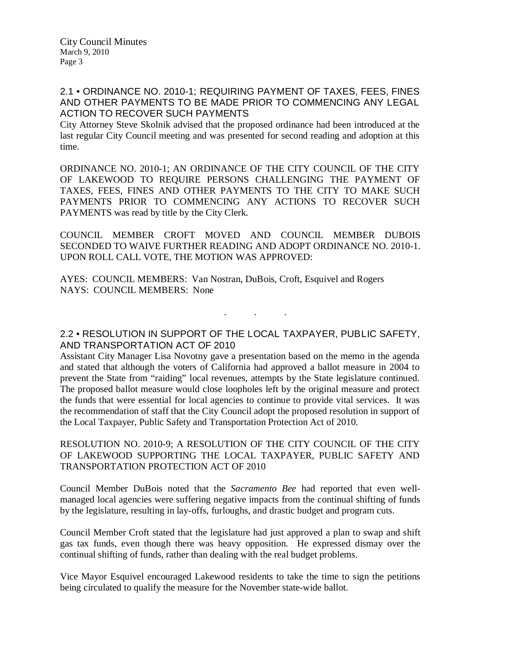# 2.1 • ORDINANCE NO. 2010-1; REQUIRING PAYMENT OF TAXES, FEES, FINES AND OTHER PAYMENTS TO BE MADE PRIOR TO COMMENCING ANY LEGAL ACTION TO RECOVER SUCH PAYMENTS

City Attorney Steve Skolnik advised that the proposed ordinance had been introduced at the last regular City Council meeting and was presented for second reading and adoption at this time.

ORDINANCE NO. 2010-1; AN ORDINANCE OF THE CITY COUNCIL OF THE CITY OF LAKEWOOD TO REQUIRE PERSONS CHALLENGING THE PAYMENT OF TAXES, FEES, FINES AND OTHER PAYMENTS TO THE CITY TO MAKE SUCH PAYMENTS PRIOR TO COMMENCING ANY ACTIONS TO RECOVER SUCH PAYMENTS was read by title by the City Clerk.

COUNCIL MEMBER CROFT MOVED AND COUNCIL MEMBER DUBOIS SECONDED TO WAIVE FURTHER READING AND ADOPT ORDINANCE NO. 2010-1. UPON ROLL CALL VOTE, THE MOTION WAS APPROVED:

AYES: COUNCIL MEMBERS: Van Nostran, DuBois, Croft, Esquivel and Rogers NAYS: COUNCIL MEMBERS: None

2.2 • RESOLUTION IN SUPPORT OF THE LOCAL TAXPAYER, PUBLIC SAFETY, AND TRANSPORTATION ACT OF 2010

. . .

Assistant City Manager Lisa Novotny gave a presentation based on the memo in the agenda and stated that although the voters of California had approved a ballot measure in 2004 to prevent the State from "raiding" local revenues, attempts by the State legislature continued. The proposed ballot measure would close loopholes left by the original measure and protect the funds that were essential for local agencies to continue to provide vital services. It was the recommendation of staff that the City Council adopt the proposed resolution in support of the Local Taxpayer, Public Safety and Transportation Protection Act of 2010.

RESOLUTION NO. 2010-9; A RESOLUTION OF THE CITY COUNCIL OF THE CITY OF LAKEWOOD SUPPORTING THE LOCAL TAXPAYER, PUBLIC SAFETY AND TRANSPORTATION PROTECTION ACT OF 2010

Council Member DuBois noted that the *Sacramento Bee* had reported that even wellmanaged local agencies were suffering negative impacts from the continual shifting of funds by the legislature, resulting in lay-offs, furloughs, and drastic budget and program cuts.

Council Member Croft stated that the legislature had just approved a plan to swap and shift gas tax funds, even though there was heavy opposition. He expressed dismay over the continual shifting of funds, rather than dealing with the real budget problems.

Vice Mayor Esquivel encouraged Lakewood residents to take the time to sign the petitions being circulated to qualify the measure for the November state-wide ballot.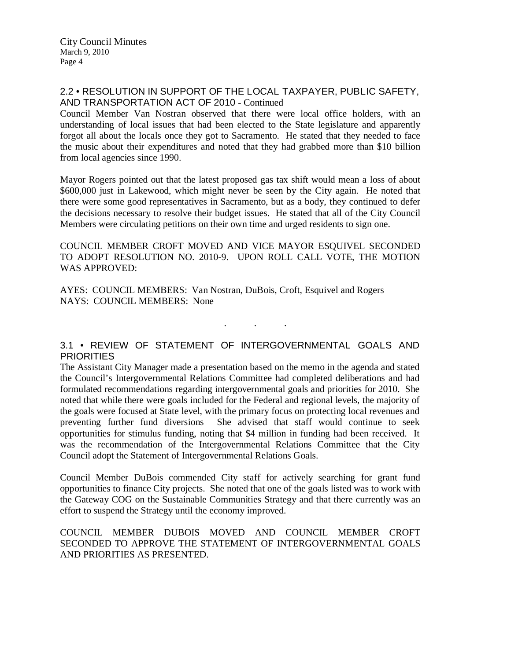#### 2.2 • RESOLUTION IN SUPPORT OF THE LOCAL TAXPAYER, PUBLIC SAFETY, AND TRANSPORTATION ACT OF 2010 - Continued

Council Member Van Nostran observed that there were local office holders, with an understanding of local issues that had been elected to the State legislature and apparently forgot all about the locals once they got to Sacramento. He stated that they needed to face the music about their expenditures and noted that they had grabbed more than \$10 billion from local agencies since 1990.

Mayor Rogers pointed out that the latest proposed gas tax shift would mean a loss of about \$600,000 just in Lakewood, which might never be seen by the City again. He noted that there were some good representatives in Sacramento, but as a body, they continued to defer the decisions necessary to resolve their budget issues. He stated that all of the City Council Members were circulating petitions on their own time and urged residents to sign one.

COUNCIL MEMBER CROFT MOVED AND VICE MAYOR ESQUIVEL SECONDED TO ADOPT RESOLUTION NO. 2010-9. UPON ROLL CALL VOTE, THE MOTION WAS APPROVED:

AYES: COUNCIL MEMBERS: Van Nostran, DuBois, Croft, Esquivel and Rogers NAYS: COUNCIL MEMBERS: None

# 3.1 • REVIEW OF STATEMENT OF INTERGOVERNMENTAL GOALS AND **PRIORITIES**

. . .

The Assistant City Manager made a presentation based on the memo in the agenda and stated the Council's Intergovernmental Relations Committee had completed deliberations and had formulated recommendations regarding intergovernmental goals and priorities for 2010. She noted that while there were goals included for the Federal and regional levels, the majority of the goals were focused at State level, with the primary focus on protecting local revenues and preventing further fund diversions She advised that staff would continue to seek opportunities for stimulus funding, noting that \$4 million in funding had been received. It was the recommendation of the Intergovernmental Relations Committee that the City Council adopt the Statement of Intergovernmental Relations Goals.

Council Member DuBois commended City staff for actively searching for grant fund opportunities to finance City projects. She noted that one of the goals listed was to work with the Gateway COG on the Sustainable Communities Strategy and that there currently was an effort to suspend the Strategy until the economy improved.

#### COUNCIL MEMBER DUBOIS MOVED AND COUNCIL MEMBER CROFT SECONDED TO APPROVE THE STATEMENT OF INTERGOVERNMENTAL GOALS AND PRIORITIES AS PRESENTED.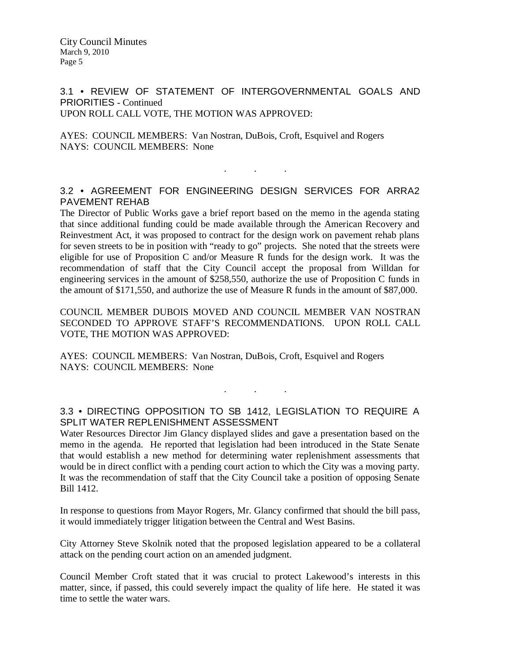City Council Minutes March 9, 2010 Page 5

3.1 • REVIEW OF STATEMENT OF INTERGOVERNMENTAL GOALS AND PRIORITIES - Continued UPON ROLL CALL VOTE, THE MOTION WAS APPROVED:

AYES: COUNCIL MEMBERS: Van Nostran, DuBois, Croft, Esquivel and Rogers NAYS: COUNCIL MEMBERS: None

#### 3.2 • AGREEMENT FOR ENGINEERING DESIGN SERVICES FOR ARRA2 PAVEMENT REHAB

. . .

The Director of Public Works gave a brief report based on the memo in the agenda stating that since additional funding could be made available through the American Recovery and Reinvestment Act, it was proposed to contract for the design work on pavement rehab plans for seven streets to be in position with "ready to go" projects. She noted that the streets were eligible for use of Proposition C and/or Measure R funds for the design work. It was the recommendation of staff that the City Council accept the proposal from Willdan for engineering services in the amount of \$258,550, authorize the use of Proposition C funds in the amount of \$171,550, and authorize the use of Measure R funds in the amount of \$87,000.

COUNCIL MEMBER DUBOIS MOVED AND COUNCIL MEMBER VAN NOSTRAN SECONDED TO APPROVE STAFF'S RECOMMENDATIONS. UPON ROLL CALL VOTE, THE MOTION WAS APPROVED:

AYES: COUNCIL MEMBERS: Van Nostran, DuBois, Croft, Esquivel and Rogers NAYS: COUNCIL MEMBERS: None

# 3.3 • DIRECTING OPPOSITION TO SB 1412, LEGISLATION TO REQUIRE A SPLIT WATER REPLENISHMENT ASSESSMENT

. . .

Water Resources Director Jim Glancy displayed slides and gave a presentation based on the memo in the agenda. He reported that legislation had been introduced in the State Senate that would establish a new method for determining water replenishment assessments that would be in direct conflict with a pending court action to which the City was a moving party. It was the recommendation of staff that the City Council take a position of opposing Senate Bill 1412.

In response to questions from Mayor Rogers, Mr. Glancy confirmed that should the bill pass, it would immediately trigger litigation between the Central and West Basins.

City Attorney Steve Skolnik noted that the proposed legislation appeared to be a collateral attack on the pending court action on an amended judgment.

Council Member Croft stated that it was crucial to protect Lakewood's interests in this matter, since, if passed, this could severely impact the quality of life here. He stated it was time to settle the water wars.